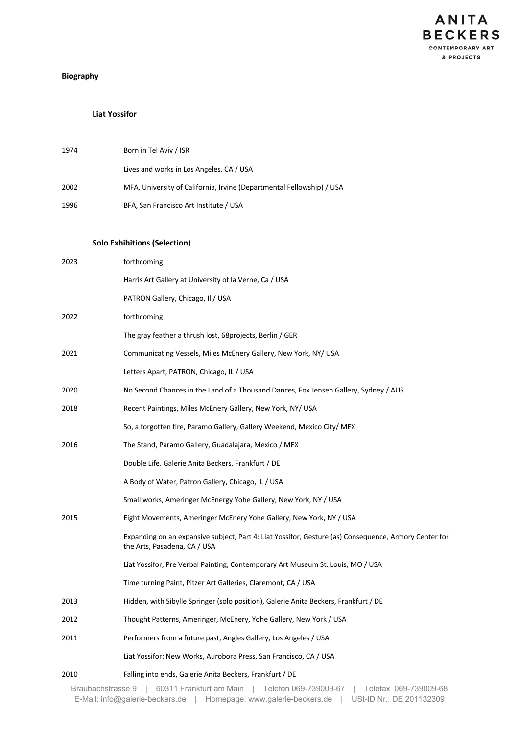

# **Biography**

### **Liat Yossifor**

| 1974 | Born in Tel Aviv / ISR                                                |
|------|-----------------------------------------------------------------------|
|      | Lives and works in Los Angeles, CA / USA                              |
| 2002 | MFA, University of California, Irvine (Departmental Fellowship) / USA |
| 1996 | BFA, San Francisco Art Institute / USA                                |
|      |                                                                       |

### **Solo Exhibitions (Selection)**

| 2023 | forthcoming                                                                                                                           |
|------|---------------------------------------------------------------------------------------------------------------------------------------|
|      | Harris Art Gallery at University of la Verne, Ca / USA                                                                                |
|      | PATRON Gallery, Chicago, Il / USA                                                                                                     |
| 2022 | forthcoming                                                                                                                           |
|      | The gray feather a thrush lost, 68projects, Berlin / GER                                                                              |
| 2021 | Communicating Vessels, Miles McEnery Gallery, New York, NY/ USA                                                                       |
|      | Letters Apart, PATRON, Chicago, IL / USA                                                                                              |
| 2020 | No Second Chances in the Land of a Thousand Dances, Fox Jensen Gallery, Sydney / AUS                                                  |
| 2018 | Recent Paintings, Miles McEnery Gallery, New York, NY/ USA                                                                            |
|      | So, a forgotten fire, Paramo Gallery, Gallery Weekend, Mexico City/ MEX                                                               |
| 2016 | The Stand, Paramo Gallery, Guadalajara, Mexico / MEX                                                                                  |
|      | Double Life, Galerie Anita Beckers, Frankfurt / DE                                                                                    |
|      | A Body of Water, Patron Gallery, Chicago, IL / USA                                                                                    |
|      | Small works, Ameringer McEnergy Yohe Gallery, New York, NY / USA                                                                      |
| 2015 | Eight Movements, Ameringer McEnery Yohe Gallery, New York, NY / USA                                                                   |
|      | Expanding on an expansive subject, Part 4: Liat Yossifor, Gesture (as) Consequence, Armory Center for<br>the Arts, Pasadena, CA / USA |
|      | Liat Yossifor, Pre Verbal Painting, Contemporary Art Museum St. Louis, MO / USA                                                       |
|      | Time turning Paint, Pitzer Art Galleries, Claremont, CA / USA                                                                         |
| 2013 | Hidden, with Sibylle Springer (solo position), Galerie Anita Beckers, Frankfurt / DE                                                  |
| 2012 | Thought Patterns, Ameringer, McEnery, Yohe Gallery, New York / USA                                                                    |
| 2011 | Performers from a future past, Angles Gallery, Los Angeles / USA                                                                      |
|      | Liat Yossifor: New Works, Aurobora Press, San Francisco, CA / USA                                                                     |
| 2010 | Falling into ends, Galerie Anita Beckers, Frankfurt / DE                                                                              |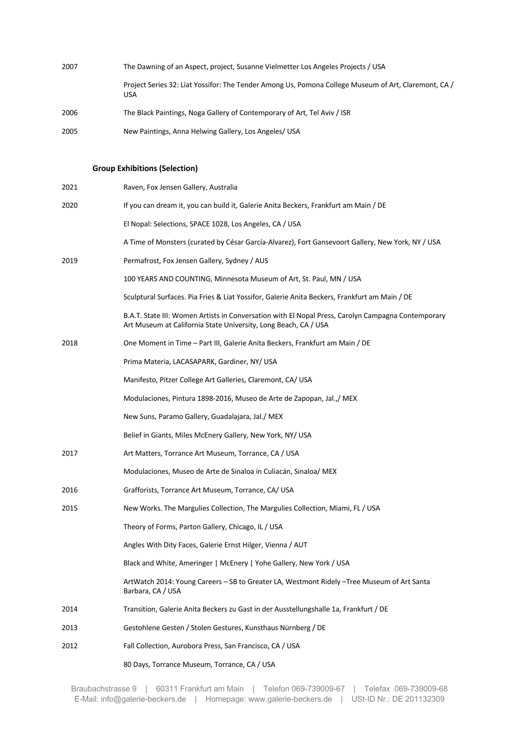| 2007 | The Dawning of an Aspect, project, Susanne Vielmetter Los Angeles Projects / USA                                   |
|------|--------------------------------------------------------------------------------------------------------------------|
|      | Project Series 32: Liat Yossifor: The Tender Among Us, Pomona College Museum of Art, Claremont, CA /<br><b>USA</b> |
| 2006 | The Black Paintings, Noga Gallery of Contemporary of Art, Tel Aviv / ISR                                           |
| 2005 | New Paintings, Anna Helwing Gallery, Los Angeles/ USA                                                              |

## **Group Exhibitions (Selection)**

| 2021 | Raven, Fox Jensen Gallery, Australia                                                                                                                                  |
|------|-----------------------------------------------------------------------------------------------------------------------------------------------------------------------|
| 2020 | If you can dream it, you can build it, Galerie Anita Beckers, Frankfurt am Main / DE                                                                                  |
|      | El Nopal: Selections, SPACE 1028, Los Angeles, CA / USA                                                                                                               |
|      | A Time of Monsters (curated by César García-Alvarez), Fort Gansevoort Gallery, New York, NY / USA                                                                     |
| 2019 | Permafrost, Fox Jensen Gallery, Sydney / AUS                                                                                                                          |
|      | 100 YEARS AND COUNTING, Minnesota Museum of Art, St. Paul, MN / USA                                                                                                   |
|      | Sculptural Surfaces. Pia Fries & Liat Yossifor, Galerie Anita Beckers, Frankfurt am Main / DE                                                                         |
|      | B.A.T. State III: Women Artists in Conversation with El Nopal Press, Carolyn Campagna Contemporary<br>Art Museum at California State University, Long Beach, CA / USA |
| 2018 | One Moment in Time - Part III, Galerie Anita Beckers, Frankfurt am Main / DE                                                                                          |
|      | Prima Materia, LACASAPARK, Gardiner, NY/ USA                                                                                                                          |
|      | Manifesto, Pitzer College Art Galleries, Claremont, CA/ USA                                                                                                           |
|      | Modulaciones, Pintura 1898-2016, Museo de Arte de Zapopan, Jal., / MEX                                                                                                |
|      | New Suns, Paramo Gallery, Guadalajara, Jal./ MEX                                                                                                                      |
|      | Belief in Giants, Miles McEnery Gallery, New York, NY/ USA                                                                                                            |
| 2017 | Art Matters, Torrance Art Museum, Torrance, CA / USA                                                                                                                  |
|      | Modulaciones, Museo de Arte de Sinaloa in Culiacán, Sinaloa/ MEX                                                                                                      |
| 2016 | Grafforists, Torrance Art Museum, Torrance, CA/ USA                                                                                                                   |
| 2015 | New Works. The Margulies Collection, The Margulies Collection, Miami, FL / USA                                                                                        |
|      | Theory of Forms, Parton Gallery, Chicago, IL / USA                                                                                                                    |
|      | Angles With Dity Faces, Galerie Ernst Hilger, Vienna / AUT                                                                                                            |
|      | Black and White, Ameringer   McEnery   Yohe Gallery, New York / USA                                                                                                   |
|      | ArtWatch 2014: Young Careers - SB to Greater LA, Westmont Ridely - Tree Museum of Art Santa<br>Barbara, CA / USA                                                      |
| 2014 | Transition, Galerie Anita Beckers zu Gast in der Ausstellungshalle 1a, Frankfurt / DE                                                                                 |
| 2013 | Gestohlene Gesten / Stolen Gestures, Kunsthaus Nürnberg / DE                                                                                                          |
| 2012 | Fall Collection, Aurobora Press, San Francisco, CA / USA                                                                                                              |
|      | 80 Days, Torrance Museum, Torrance, CA / USA                                                                                                                          |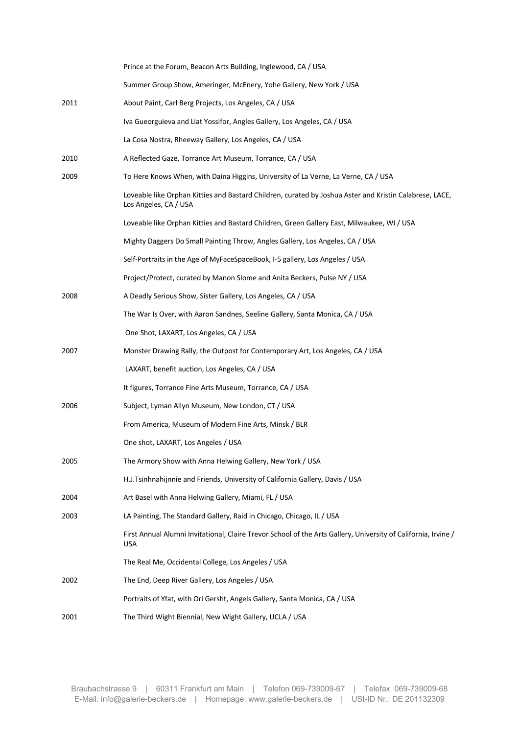|      | Prince at the Forum, Beacon Arts Building, Inglewood, CA / USA                                                                   |
|------|----------------------------------------------------------------------------------------------------------------------------------|
|      | Summer Group Show, Ameringer, McEnery, Yohe Gallery, New York / USA                                                              |
| 2011 | About Paint, Carl Berg Projects, Los Angeles, CA / USA                                                                           |
|      | Iva Gueorguieva and Liat Yossifor, Angles Gallery, Los Angeles, CA / USA                                                         |
|      | La Cosa Nostra, Rheeway Gallery, Los Angeles, CA / USA                                                                           |
| 2010 | A Reflected Gaze, Torrance Art Museum, Torrance, CA / USA                                                                        |
| 2009 | To Here Knows When, with Daina Higgins, University of La Verne, La Verne, CA / USA                                               |
|      | Loveable like Orphan Kitties and Bastard Children, curated by Joshua Aster and Kristin Calabrese, LACE,<br>Los Angeles, CA / USA |
|      | Loveable like Orphan Kitties and Bastard Children, Green Gallery East, Milwaukee, WI / USA                                       |
|      | Mighty Daggers Do Small Painting Throw, Angles Gallery, Los Angeles, CA / USA                                                    |
|      | Self-Portraits in the Age of MyFaceSpaceBook, I-5 gallery, Los Angeles / USA                                                     |
|      | Project/Protect, curated by Manon Slome and Anita Beckers, Pulse NY / USA                                                        |
| 2008 | A Deadly Serious Show, Sister Gallery, Los Angeles, CA / USA                                                                     |
|      | The War Is Over, with Aaron Sandnes, Seeline Gallery, Santa Monica, CA / USA                                                     |
|      | One Shot, LAXART, Los Angeles, CA / USA                                                                                          |
| 2007 | Monster Drawing Rally, the Outpost for Contemporary Art, Los Angeles, CA / USA                                                   |
|      | LAXART, benefit auction, Los Angeles, CA / USA                                                                                   |
|      | It figures, Torrance Fine Arts Museum, Torrance, CA / USA                                                                        |
| 2006 | Subject, Lyman Allyn Museum, New London, CT / USA                                                                                |
|      | From America, Museum of Modern Fine Arts, Minsk / BLR                                                                            |
|      | One shot, LAXART, Los Angeles / USA                                                                                              |
| 2005 | The Armory Show with Anna Helwing Gallery, New York / USA                                                                        |
|      | H.J.Tsinhnahijnnie and Friends, University of California Gallery, Davis / USA                                                    |
| 2004 | Art Basel with Anna Helwing Gallery, Miami, FL / USA                                                                             |
| 2003 | LA Painting, The Standard Gallery, Raid in Chicago, Chicago, IL / USA                                                            |
|      | First Annual Alumni Invitational, Claire Trevor School of the Arts Gallery, University of California, Irvine /<br><b>USA</b>     |
|      | The Real Me, Occidental College, Los Angeles / USA                                                                               |
| 2002 | The End, Deep River Gallery, Los Angeles / USA                                                                                   |
|      | Portraits of Yfat, with Ori Gersht, Angels Gallery, Santa Monica, CA / USA                                                       |
| 2001 | The Third Wight Biennial, New Wight Gallery, UCLA / USA                                                                          |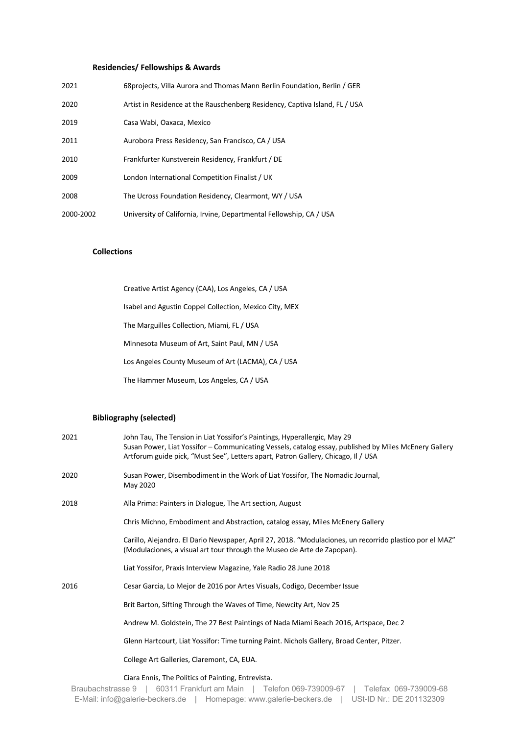### **Residencies/ Fellowships & Awards**

| 2021      | 68 projects, Villa Aurora and Thomas Mann Berlin Foundation, Berlin / GER   |
|-----------|-----------------------------------------------------------------------------|
| 2020      | Artist in Residence at the Rauschenberg Residency, Captiva Island, FL / USA |
| 2019      | Casa Wabi, Oaxaca, Mexico                                                   |
| 2011      | Aurobora Press Residency, San Francisco, CA / USA                           |
| 2010      | Frankfurter Kunstverein Residency, Frankfurt / DE                           |
| 2009      | London International Competition Finalist / UK                              |
| 2008      | The Ucross Foundation Residency, Clearmont, WY / USA                        |
| 2000-2002 | University of California, Irvine, Departmental Fellowship, CA / USA         |

#### **Collections**

| Creative Artist Agency (CAA), Los Angeles, CA / USA    |
|--------------------------------------------------------|
| Isabel and Agustin Coppel Collection, Mexico City, MEX |
| The Marguilles Collection, Miami, FL / USA             |
| Minnesota Museum of Art, Saint Paul, MN / USA          |
| Los Angeles County Museum of Art (LACMA), CA / USA     |
| The Hammer Museum, Los Angeles, CA / USA               |

### **Bibliography (selected)**

| 2021 | John Tau, The Tension in Liat Yossifor's Paintings, Hyperallergic, May 29<br>Susan Power, Liat Yossifor – Communicating Vessels, catalog essay, published by Miles McEnery Gallery<br>Artforum guide pick, "Must See", Letters apart, Patron Gallery, Chicago, Il / USA |
|------|-------------------------------------------------------------------------------------------------------------------------------------------------------------------------------------------------------------------------------------------------------------------------|
| 2020 | Susan Power, Disembodiment in the Work of Liat Yossifor, The Nomadic Journal,<br>May 2020                                                                                                                                                                               |
| 2018 | Alla Prima: Painters in Dialogue, The Art section, August                                                                                                                                                                                                               |
|      | Chris Michno, Embodiment and Abstraction, catalog essay, Miles McEnery Gallery                                                                                                                                                                                          |
|      | Carillo, Alejandro. El Dario Newspaper, April 27, 2018. "Modulaciones, un recorrido plastico por el MAZ"<br>(Modulaciones, a visual art tour through the Museo de Arte de Zapopan).                                                                                     |
|      | Liat Yossifor, Praxis Interview Magazine, Yale Radio 28 June 2018                                                                                                                                                                                                       |
| 2016 | Cesar Garcia, Lo Mejor de 2016 por Artes Visuals, Codigo, December Issue                                                                                                                                                                                                |
|      | Brit Barton, Sifting Through the Waves of Time, Newcity Art, Nov 25                                                                                                                                                                                                     |
|      | Andrew M. Goldstein, The 27 Best Paintings of Nada Miami Beach 2016, Artspace, Dec 2                                                                                                                                                                                    |
|      | Glenn Hartcourt, Liat Yossifor: Time turning Paint. Nichols Gallery, Broad Center, Pitzer.                                                                                                                                                                              |
|      | College Art Galleries, Claremont, CA, EUA.                                                                                                                                                                                                                              |
|      | Ciara Ennis, The Politics of Painting, Entrevista.                                                                                                                                                                                                                      |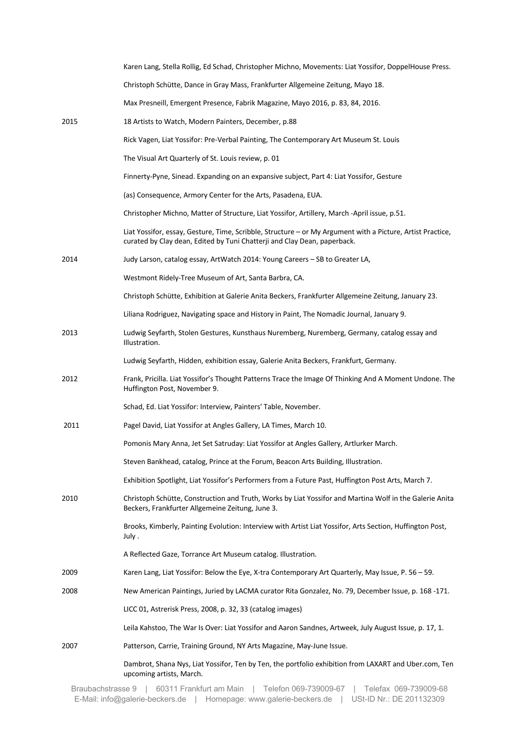|      | Karen Lang, Stella Rollig, Ed Schad, Christopher Michno, Movements: Liat Yossifor, DoppelHouse Press.                                                                                  |
|------|----------------------------------------------------------------------------------------------------------------------------------------------------------------------------------------|
|      | Christoph Schütte, Dance in Gray Mass, Frankfurter Allgemeine Zeitung, Mayo 18.                                                                                                        |
|      | Max Presneill, Emergent Presence, Fabrik Magazine, Mayo 2016, p. 83, 84, 2016.                                                                                                         |
| 2015 | 18 Artists to Watch, Modern Painters, December, p.88                                                                                                                                   |
|      | Rick Vagen, Liat Yossifor: Pre-Verbal Painting, The Contemporary Art Museum St. Louis                                                                                                  |
|      | The Visual Art Quarterly of St. Louis review, p. 01                                                                                                                                    |
|      | Finnerty-Pyne, Sinead. Expanding on an expansive subject, Part 4: Liat Yossifor, Gesture                                                                                               |
|      | (as) Consequence, Armory Center for the Arts, Pasadena, EUA.                                                                                                                           |
|      | Christopher Michno, Matter of Structure, Liat Yossifor, Artillery, March -April issue, p.51.                                                                                           |
|      | Liat Yossifor, essay, Gesture, Time, Scribble, Structure - or My Argument with a Picture, Artist Practice,<br>curated by Clay dean, Edited by Tuni Chatterji and Clay Dean, paperback. |
| 2014 | Judy Larson, catalog essay, ArtWatch 2014: Young Careers - SB to Greater LA,                                                                                                           |
|      | Westmont Ridely-Tree Museum of Art, Santa Barbra, CA.                                                                                                                                  |
|      | Christoph Schütte, Exhibition at Galerie Anita Beckers, Frankfurter Allgemeine Zeitung, January 23.                                                                                    |
|      | Liliana Rodriguez, Navigating space and History in Paint, The Nomadic Journal, January 9.                                                                                              |
| 2013 | Ludwig Seyfarth, Stolen Gestures, Kunsthaus Nuremberg, Nuremberg, Germany, catalog essay and<br>Illustration.                                                                          |
|      | Ludwig Seyfarth, Hidden, exhibition essay, Galerie Anita Beckers, Frankfurt, Germany.                                                                                                  |
| 2012 | Frank, Pricilla. Liat Yossifor's Thought Patterns Trace the Image Of Thinking And A Moment Undone. The<br>Huffington Post, November 9.                                                 |
|      | Schad, Ed. Liat Yossifor: Interview, Painters' Table, November.                                                                                                                        |
| 2011 | Pagel David, Liat Yossifor at Angles Gallery, LA Times, March 10.                                                                                                                      |
|      | Pomonis Mary Anna, Jet Set Satruday: Liat Yossifor at Angles Gallery, Artlurker March.                                                                                                 |
|      | Steven Bankhead, catalog, Prince at the Forum, Beacon Arts Building, Illustration.                                                                                                     |
|      | Exhibition Spotlight, Liat Yossifor's Performers from a Future Past, Huffington Post Arts, March 7.                                                                                    |
| 2010 | Christoph Schütte, Construction and Truth, Works by Liat Yossifor and Martina Wolf in the Galerie Anita<br>Beckers, Frankfurter Allgemeine Zeitung, June 3.                            |
|      | Brooks, Kimberly, Painting Evolution: Interview with Artist Liat Yossifor, Arts Section, Huffington Post,<br>July .                                                                    |
|      | A Reflected Gaze, Torrance Art Museum catalog. Illustration.                                                                                                                           |
| 2009 | Karen Lang, Liat Yossifor: Below the Eye, X-tra Contemporary Art Quarterly, May Issue, P. 56 - 59.                                                                                     |
| 2008 | New American Paintings, Juried by LACMA curator Rita Gonzalez, No. 79, December Issue, p. 168 -171.                                                                                    |
|      | LICC 01, Astrerisk Press, 2008, p. 32, 33 (catalog images)                                                                                                                             |
|      | Leila Kahstoo, The War Is Over: Liat Yossifor and Aaron Sandnes, Artweek, July August Issue, p. 17, 1.                                                                                 |
| 2007 | Patterson, Carrie, Training Ground, NY Arts Magazine, May-June Issue.                                                                                                                  |
|      | Dambrot, Shana Nys, Liat Yossifor, Ten by Ten, the portfolio exhibition from LAXART and Uber.com, Ten<br>upcoming artists, March.                                                      |
|      |                                                                                                                                                                                        |